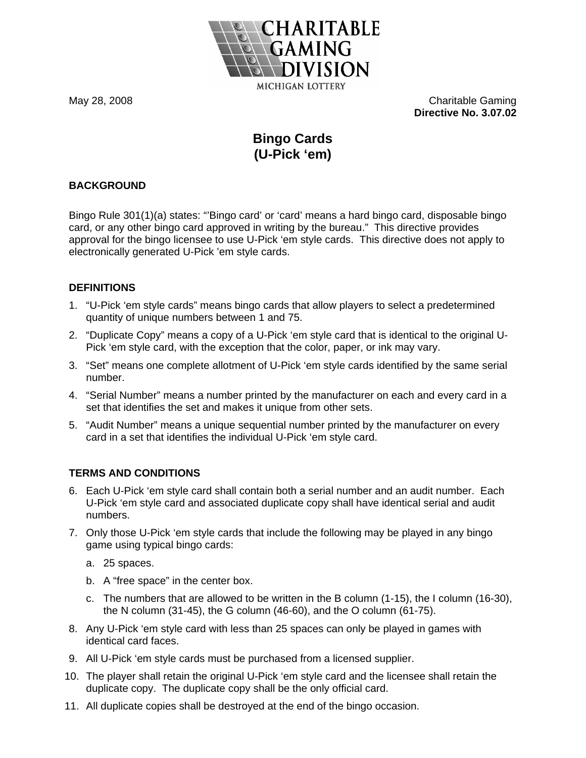

May 28, 2008 Charitable Gaming **Directive No. 3.07.02** 

# **Bingo Cards (U-Pick 'em)**

# **BACKGROUND**

Bingo Rule 301(1)(a) states: "'Bingo card' or 'card' means a hard bingo card, disposable bingo card, or any other bingo card approved in writing by the bureau." This directive provides approval for the bingo licensee to use U-Pick 'em style cards. This directive does not apply to electronically generated U-Pick 'em style cards.

#### **DEFINITIONS**

- 1. "U-Pick 'em style cards" means bingo cards that allow players to select a predetermined quantity of unique numbers between 1 and 75.
- 2. "Duplicate Copy" means a copy of a U-Pick 'em style card that is identical to the original U-Pick 'em style card, with the exception that the color, paper, or ink may vary.
- 3. "Set" means one complete allotment of U-Pick 'em style cards identified by the same serial number.
- 4. "Serial Number" means a number printed by the manufacturer on each and every card in a set that identifies the set and makes it unique from other sets.
- 5. "Audit Number" means a unique sequential number printed by the manufacturer on every card in a set that identifies the individual U-Pick 'em style card.

# **TERMS AND CONDITIONS**

- 6. Each U-Pick 'em style card shall contain both a serial number and an audit number. Each U-Pick 'em style card and associated duplicate copy shall have identical serial and audit numbers.
- 7. Only those U-Pick 'em style cards that include the following may be played in any bingo game using typical bingo cards:
	- a. 25 spaces.
	- b. A "free space" in the center box.
	- c. The numbers that are allowed to be written in the B column (1-15), the I column (16-30), the N column (31-45), the G column (46-60), and the O column (61-75).
- 8. Any U-Pick 'em style card with less than 25 spaces can only be played in games with identical card faces.
- 9. All U-Pick 'em style cards must be purchased from a licensed supplier.
- 10. The player shall retain the original U-Pick 'em style card and the licensee shall retain the duplicate copy. The duplicate copy shall be the only official card.
- 11. All duplicate copies shall be destroyed at the end of the bingo occasion.